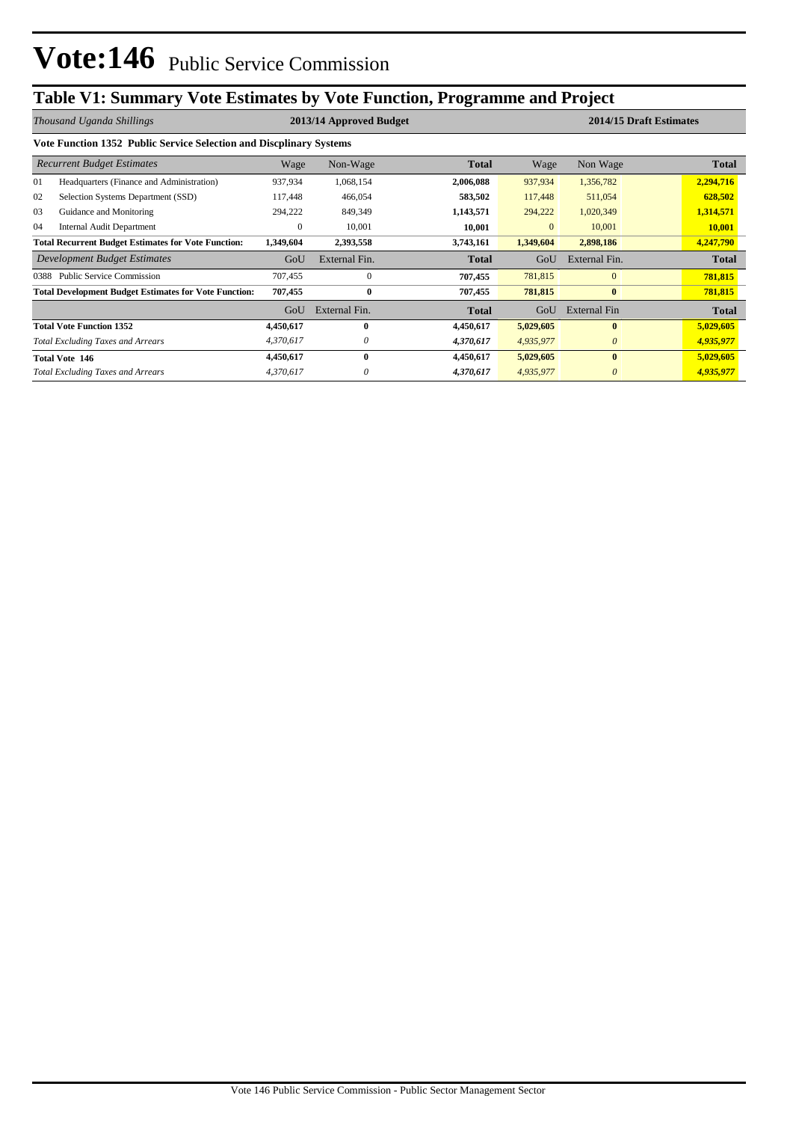## **Table V1: Summary Vote Estimates by Vote Function, Programme and Project**

| Thousand Uganda Shillings                                  |                                                                     |           | 2013/14 Approved Budget |              | 2014/15 Draft Estimates |               |               |  |
|------------------------------------------------------------|---------------------------------------------------------------------|-----------|-------------------------|--------------|-------------------------|---------------|---------------|--|
|                                                            | Vote Function 1352 Public Service Selection and Discplinary Systems |           |                         |              |                         |               |               |  |
| <b>Recurrent Budget Estimates</b>                          |                                                                     | Wage      | Non-Wage                | <b>Total</b> | Wage                    | Non Wage      | <b>Total</b>  |  |
| 01                                                         | Headquarters (Finance and Administration)                           | 937,934   | 1,068,154               | 2,006,088    | 937,934                 | 1,356,782     | 2,294,716     |  |
| 02                                                         | Selection Systems Department (SSD)                                  | 117,448   | 466,054                 | 583,502      | 117,448                 | 511,054       | 628,502       |  |
| 03                                                         | Guidance and Monitoring                                             | 294,222   | 849,349                 | 1,143,571    | 294,222                 | 1,020,349     | 1,314,571     |  |
| 04                                                         | <b>Internal Audit Department</b>                                    | 0         | 10,001                  | 10,001       | $\overline{0}$          | 10,001        | <b>10,001</b> |  |
| <b>Total Recurrent Budget Estimates for Vote Function:</b> |                                                                     | 1,349,604 | 2,393,558               | 3,743,161    | 1,349,604               | 2,898,186     | 4,247,790     |  |
|                                                            | <b>Development Budget Estimates</b>                                 | GoU       | External Fin.           | <b>Total</b> | GoU                     | External Fin. | <b>Total</b>  |  |
| 0388                                                       | <b>Public Service Commission</b>                                    | 707,455   | $\mathbf{0}$            | 707,455      | 781,815                 | $\mathbf{0}$  | 781,815       |  |
|                                                            | <b>Total Development Budget Estimates for Vote Function:</b>        | 707,455   | $\bf{0}$                | 707,455      | 781,815                 | $\bf{0}$      | 781,815       |  |
|                                                            |                                                                     | GoU       | External Fin.           | <b>Total</b> | GoU                     | External Fin  | <b>Total</b>  |  |
|                                                            | <b>Total Vote Function 1352</b>                                     | 4,450,617 | $\bf{0}$                | 4,450,617    | 5,029,605               | $\bf{0}$      | 5,029,605     |  |
|                                                            | <b>Total Excluding Taxes and Arrears</b>                            | 4,370,617 | 0                       | 4,370,617    | 4,935,977               | $\theta$      | 4,935,977     |  |
|                                                            | <b>Total Vote 146</b>                                               | 4,450,617 | $\mathbf{0}$            | 4,450,617    | 5,029,605               | $\mathbf{0}$  | 5,029,605     |  |
|                                                            | <b>Total Excluding Taxes and Arrears</b>                            | 4,370,617 | 0                       | 4,370,617    | 4,935,977               | 0             | 4,935,977     |  |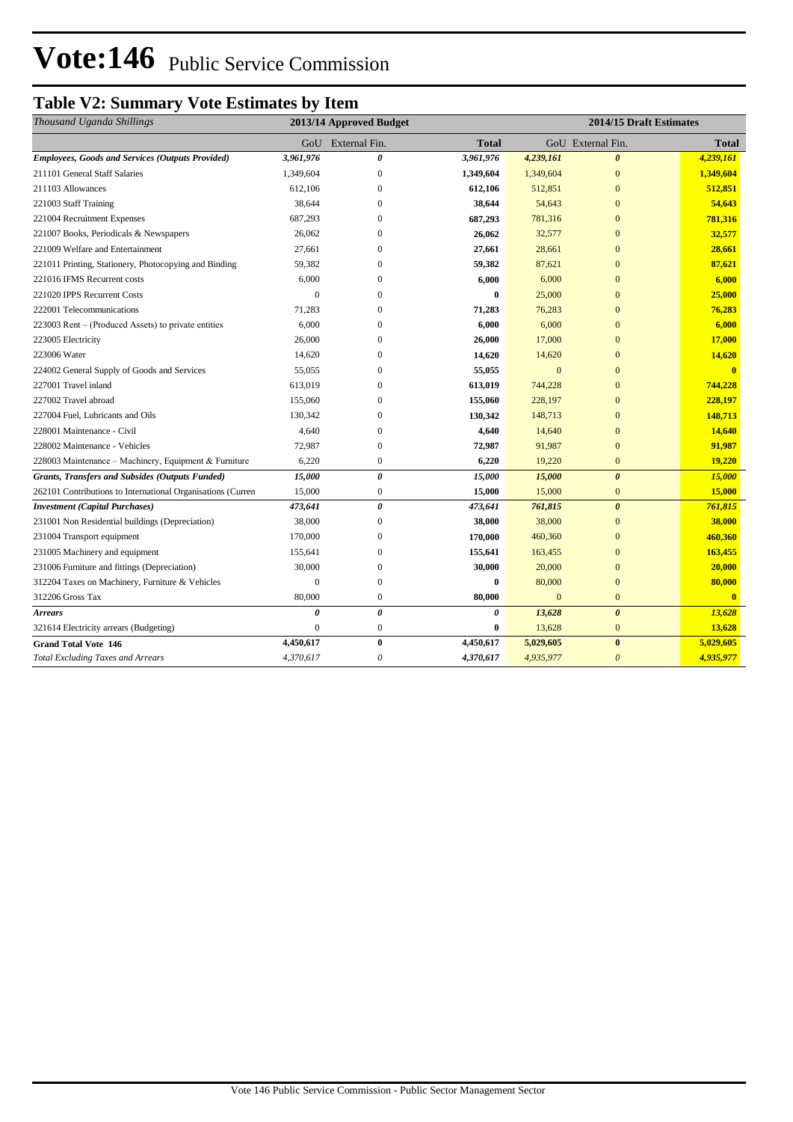# Vote:146 Public Service Commission

### **Table V2: Summary Vote Estimates by Item**

| Thousand Uganda Shillings                                   | 2014/15 Draft Estimates<br>2013/14 Approved Budget |                       |           |                |                       |              |
|-------------------------------------------------------------|----------------------------------------------------|-----------------------|-----------|----------------|-----------------------|--------------|
|                                                             |                                                    | GoU External Fin.     | Total     |                | GoU External Fin.     | <b>Total</b> |
| <b>Employees, Goods and Services (Outputs Provided)</b>     | 3,961,976                                          | 0                     | 3,961,976 | 4,239,161      | $\boldsymbol{\theta}$ | 4,239,161    |
| 211101 General Staff Salaries                               | 1,349,604                                          | $\mathbf{0}$          | 1,349,604 | 1,349,604      | $\overline{0}$        | 1,349,604    |
| 211103 Allowances                                           | 612,106                                            | $\mathbf{0}$          | 612,106   | 512,851        | $\overline{0}$        | 512,851      |
| 221003 Staff Training                                       | 38,644                                             | $\mathbf{0}$          | 38,644    | 54,643         | $\overline{0}$        | 54,643       |
| 221004 Recruitment Expenses                                 | 687,293                                            | $\mathbf{0}$          | 687,293   | 781,316        | $\overline{0}$        | 781,316      |
| 221007 Books, Periodicals & Newspapers                      | 26,062                                             | $\mathbf{0}$          | 26,062    | 32,577         | $\overline{0}$        | 32,577       |
| 221009 Welfare and Entertainment                            | 27,661                                             | $\mathbf{0}$          | 27,661    | 28,661         | $\overline{0}$        | 28,661       |
| 221011 Printing, Stationery, Photocopying and Binding       | 59,382                                             | $\mathbf{0}$          | 59,382    | 87,621         | $\overline{0}$        | 87,621       |
| 221016 IFMS Recurrent costs                                 | 6,000                                              | $\mathbf{0}$          | 6,000     | 6,000          | $\overline{0}$        | 6,000        |
| 221020 IPPS Recurrent Costs                                 | $\overline{0}$                                     | $\mathbf{0}$          | $\bf{0}$  | 25,000         | $\overline{0}$        | 25,000       |
| 222001 Telecommunications                                   | 71,283                                             | $\Omega$              | 71,283    | 76,283         | $\Omega$              | 76,283       |
| 223003 Rent – (Produced Assets) to private entities         | 6,000                                              | $\Omega$              | 6,000     | 6,000          | $\Omega$              | 6,000        |
| 223005 Electricity                                          | 26,000                                             | $\Omega$              | 26,000    | 17,000         | $\Omega$              | 17,000       |
| 223006 Water                                                | 14,620                                             | $\Omega$              | 14,620    | 14,620         | $\Omega$              | 14,620       |
| 224002 General Supply of Goods and Services                 | 55,055                                             | $\mathbf{0}$          | 55,055    | $\mathbf{0}$   | $\Omega$              | $\mathbf{0}$ |
| 227001 Travel inland                                        | 613,019                                            | $\mathbf{0}$          | 613,019   | 744,228        | $\overline{0}$        | 744,228      |
| 227002 Travel abroad                                        | 155,060                                            | $\mathbf{0}$          | 155,060   | 228,197        | $\overline{0}$        | 228,197      |
| 227004 Fuel, Lubricants and Oils                            | 130,342                                            | $\mathbf{0}$          | 130,342   | 148,713        | $\overline{0}$        | 148,713      |
| 228001 Maintenance - Civil                                  | 4,640                                              | $\boldsymbol{0}$      | 4,640     | 14,640         | $\overline{0}$        | 14,640       |
| 228002 Maintenance - Vehicles                               | 72,987                                             | $\overline{0}$        | 72,987    | 91,987         | $\overline{0}$        | 91,987       |
| 228003 Maintenance – Machinery, Equipment & Furniture       | 6,220                                              | $\boldsymbol{0}$      | 6,220     | 19,220         | $\overline{0}$        | 19,220       |
| <b>Grants, Transfers and Subsides (Outputs Funded)</b>      | 15,000                                             | $\boldsymbol{\theta}$ | 15,000    | 15,000         | $\theta$              | 15,000       |
| 262101 Contributions to International Organisations (Curren | 15,000                                             | $\boldsymbol{0}$      | 15,000    | 15,000         | $\overline{0}$        | 15,000       |
| <b>Investment</b> (Capital Purchases)                       | 473,641                                            | $\boldsymbol{\theta}$ | 473,641   | 761,815        | $\boldsymbol{\theta}$ | 761,815      |
| 231001 Non Residential buildings (Depreciation)             | 38,000                                             | $\mathbf{0}$          | 38,000    | 38,000         | $\overline{0}$        | 38,000       |
| 231004 Transport equipment                                  | 170,000                                            | $\mathbf{0}$          | 170,000   | 460,360        | $\overline{0}$        | 460,360      |
| 231005 Machinery and equipment                              | 155,641                                            | $\mathbf{0}$          | 155,641   | 163,455        | $\overline{0}$        | 163,455      |
| 231006 Furniture and fittings (Depreciation)                | 30,000                                             | $\boldsymbol{0}$      | 30,000    | 20,000         | $\overline{0}$        | 20,000       |
| 312204 Taxes on Machinery, Furniture & Vehicles             | $\theta$                                           | $\mathbf{0}$          | $\bf{0}$  | 80,000         | $\overline{0}$        | 80,000       |
| 312206 Gross Tax                                            | 80,000                                             | $\boldsymbol{0}$      | 80,000    | $\overline{0}$ | $\overline{0}$        | $\mathbf{0}$ |
| <b>Arrears</b>                                              | 0                                                  | $\boldsymbol{\theta}$ | 0         | 13,628         | $\boldsymbol{\theta}$ | 13,628       |
| 321614 Electricity arrears (Budgeting)                      | $\Omega$                                           | $\boldsymbol{0}$      | 0         | 13,628         | $\overline{0}$        | 13,628       |
| <b>Grand Total Vote 146</b>                                 | 4,450,617                                          | $\bf{0}$              | 4,450,617 | 5,029,605      | $\bf{0}$              | 5,029,605    |
| <b>Total Excluding Taxes and Arrears</b>                    | 4,370,617                                          | $\theta$              | 4,370,617 | 4,935,977      | $\theta$              | 4,935,977    |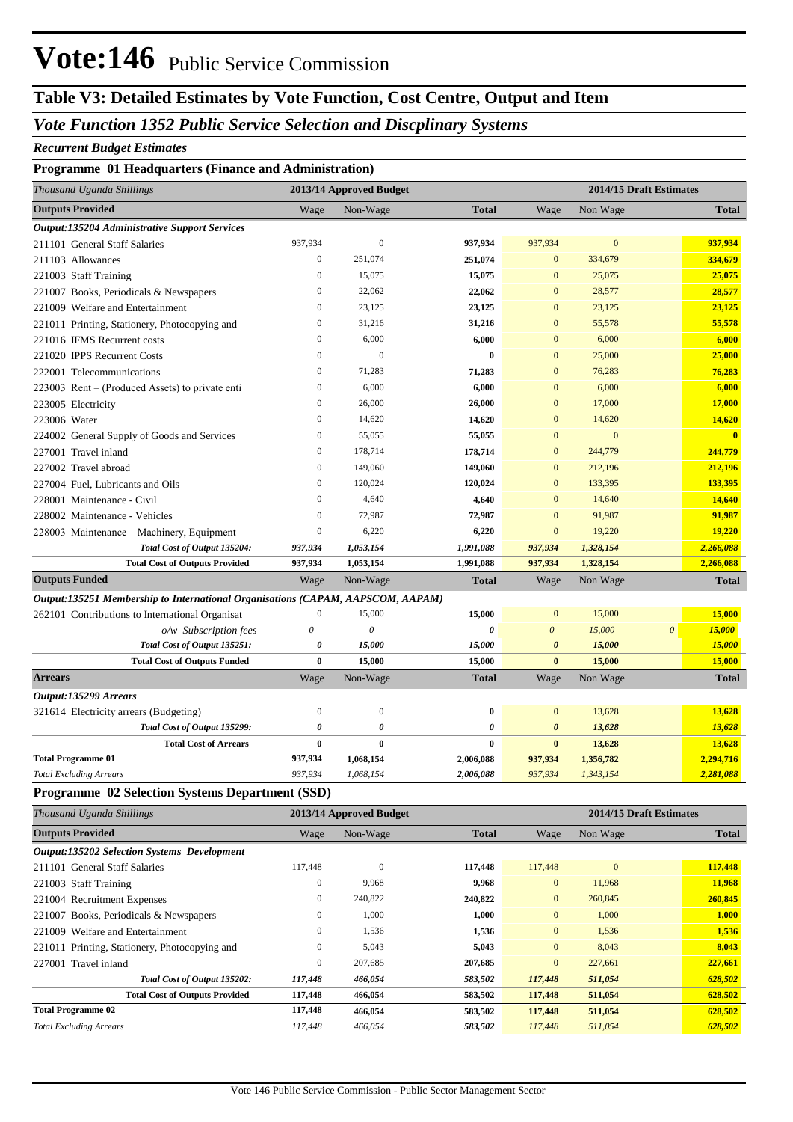## **Vote:146** Public Service Commission

### **Table V3: Detailed Estimates by Vote Function, Cost Centre, Output and Item**

### *Vote Function 1352 Public Service Selection and Discplinary Systems*

#### *Recurrent Budget Estimates*

### **Programme 01 Headquarters (Finance and Administration)**

| Thousand Uganda Shillings                                                       | 2013/14 Approved Budget |                           | 2014/15 Draft Estimates |                       |                         |          |              |
|---------------------------------------------------------------------------------|-------------------------|---------------------------|-------------------------|-----------------------|-------------------------|----------|--------------|
| <b>Outputs Provided</b>                                                         | Wage                    | Non-Wage                  | <b>Total</b>            | Wage                  | Non Wage                |          | <b>Total</b> |
| Output:135204 Administrative Support Services                                   |                         |                           |                         |                       |                         |          |              |
| 211101 General Staff Salaries                                                   | 937,934                 | $\mathbf{0}$              | 937,934                 | 937,934               | $\mathbf{0}$            |          | 937,934      |
| 211103 Allowances                                                               | 0                       | 251,074                   | 251,074                 | $\bf{0}$              | 334,679                 |          | 334,679      |
| 221003 Staff Training                                                           | $\mathbf{0}$            | 15,075                    | 15,075                  | $\mathbf{0}$          | 25,075                  |          | 25,075       |
| 221007 Books, Periodicals & Newspapers                                          | $\mathbf{0}$            | 22,062                    | 22,062                  | $\mathbf{0}$          | 28,577                  |          | 28,577       |
| 221009 Welfare and Entertainment                                                | $\mathbf{0}$            | 23,125                    | 23,125                  | $\mathbf{0}$          | 23,125                  |          | 23,125       |
| 221011 Printing, Stationery, Photocopying and                                   | $\mathbf{0}$            | 31,216                    | 31,216                  | $\mathbf{0}$          | 55,578                  |          | 55,578       |
| 221016 IFMS Recurrent costs                                                     | $\mathbf{0}$            | 6,000                     | 6,000                   | $\mathbf{0}$          | 6,000                   |          | 6,000        |
| 221020 IPPS Recurrent Costs                                                     | $\mathbf{0}$            | $\mathbf{0}$              | 0                       | $\mathbf{0}$          | 25,000                  |          | 25,000       |
| 222001 Telecommunications                                                       | $\mathbf{0}$            | 71,283                    | 71,283                  | $\mathbf{0}$          | 76,283                  |          | 76,283       |
| 223003 Rent – (Produced Assets) to private enti                                 | $\mathbf{0}$            | 6,000                     | 6,000                   | $\mathbf{0}$          | 6,000                   |          | 6,000        |
| 223005 Electricity                                                              | $\mathbf{0}$            | 26,000                    | 26,000                  | $\mathbf{0}$          | 17,000                  |          | 17,000       |
| 223006 Water                                                                    | $\mathbf{0}$            | 14,620                    | 14,620                  | $\boldsymbol{0}$      | 14,620                  |          | 14,620       |
| 224002 General Supply of Goods and Services                                     | $\mathbf{0}$            | 55,055                    | 55,055                  | $\mathbf{0}$          | $\mathbf{0}$            |          | $\bf{0}$     |
| 227001 Travel inland                                                            | $\mathbf{0}$            | 178,714                   | 178,714                 | $\mathbf{0}$          | 244,779                 |          | 244,779      |
| 227002 Travel abroad                                                            | $\mathbf{0}$            | 149,060                   | 149,060                 | $\mathbf{0}$          | 212,196                 |          | 212,196      |
| 227004 Fuel, Lubricants and Oils                                                | $\mathbf{0}$            | 120,024                   | 120,024                 | $\mathbf{0}$          | 133,395                 |          | 133,395      |
| 228001 Maintenance - Civil                                                      | $\Omega$                | 4,640                     | 4,640                   | $\mathbf{0}$          | 14,640                  |          | 14,640       |
| 228002 Maintenance - Vehicles                                                   | $\mathbf{0}$            | 72,987                    | 72,987                  | $\mathbf{0}$          | 91,987                  |          | 91,987       |
| 228003 Maintenance - Machinery, Equipment                                       | $\boldsymbol{0}$        | 6,220                     | 6,220                   | $\bf{0}$              | 19,220                  |          | 19,220       |
| Total Cost of Output 135204:                                                    | 937,934                 | 1,053,154                 | 1,991,088               | 937,934               | 1,328,154               |          | 2,266,088    |
| <b>Total Cost of Outputs Provided</b>                                           | 937,934                 | 1,053,154                 | 1,991,088               | 937,934               | 1,328,154               |          | 2,266,088    |
| <b>Outputs Funded</b>                                                           | Wage                    | Non-Wage                  | <b>Total</b>            | Wage                  | Non Wage                |          | <b>Total</b> |
| Output:135251 Membership to International Organisations (CAPAM, AAPSCOM, AAPAM) |                         |                           |                         |                       |                         |          |              |
| 262101 Contributions to International Organisat                                 | $\boldsymbol{0}$        | 15,000                    | 15,000                  | $\mathbf{0}$          | 15,000                  |          | 15,000       |
| o/w Subscription fees                                                           | 0                       | $\boldsymbol{\mathit{0}}$ | 0                       | $\boldsymbol{\theta}$ | 15,000                  | $\theta$ | 15,000       |
| Total Cost of Output 135251:                                                    | 0                       | 15,000                    | 15,000                  | $\boldsymbol{\theta}$ | 15,000                  |          | 15,000       |
| <b>Total Cost of Outputs Funded</b>                                             | $\bf{0}$                | 15,000                    | 15,000                  | $\bf{0}$              | 15,000                  |          | 15,000       |
| <b>Arrears</b>                                                                  | Wage                    | Non-Wage                  | <b>Total</b>            | Wage                  | Non Wage                |          | <b>Total</b> |
| Output:135299 Arrears                                                           |                         |                           |                         |                       |                         |          |              |
| 321614 Electricity arrears (Budgeting)                                          | $\boldsymbol{0}$        | $\mathbf{0}$              | 0                       | $\bf{0}$              | 13,628                  |          | 13,628       |
| Total Cost of Output 135299:                                                    | 0                       | 0                         | 0                       | 0                     | 13,628                  |          | 13,628       |
| <b>Total Cost of Arrears</b>                                                    | $\bf{0}$                | $\bf{0}$                  | 0                       | $\bf{0}$              | 13,628                  |          | 13,628       |
| <b>Total Programme 01</b>                                                       | 937,934                 | 1,068,154                 | 2,006,088               | 937,934               | 1,356,782               |          | 2,294,716    |
| <b>Total Excluding Arrears</b>                                                  | 937,934                 | 1,068,154                 | 2,006,088               | 937,934               | 1,343,154               |          | 2,281,088    |
| Programme 02 Selection Systems Department (SSD)                                 |                         |                           |                         |                       |                         |          |              |
| Thousand Uganda Shillings                                                       |                         | 2013/14 Approved Budget   |                         |                       | 2014/15 Draft Estimates |          |              |
| <b>Outputs Provided</b>                                                         | Wage                    | Non-Wage                  | <b>Total</b>            | Wage                  | Non Wage                |          | <b>Total</b> |
| <b>Output:135202 Selection Systems Development</b>                              |                         |                           |                         |                       |                         |          |              |
| 211101 General Staff Salaries                                                   | 117,448                 | $\mathbf{0}$              | 117,448                 | 117,448               | $\bf{0}$                |          | 117,448      |
| 221003 Staff Training                                                           | 0                       | 9,968                     | 9,968                   | $\bf{0}$              | 11,968                  |          | 11,968       |
| 221004 Recruitment Expenses                                                     | 0                       | 240,822                   | 240,822                 | $\mathbf{0}$          | 260,845                 |          | 260,845      |
| 221007 Books, Periodicals & Newspapers                                          | 0                       | 1,000                     | 1,000                   | $\boldsymbol{0}$      | 1,000                   |          | 1,000        |
| 337.10<br>221000                                                                |                         | 1526                      | 1.526                   |                       | 1524                    |          | 1.52C        |

| 221009 Welfare and Entertainment              | 0            | .536    | 1,536   |         | 1,536   | 1,536   |
|-----------------------------------------------|--------------|---------|---------|---------|---------|---------|
| 221011 Printing, Stationery, Photocopying and | $\mathbf{0}$ | 5.043   | 5.043   |         | 8,043   | 8.043   |
| 227001 Travel inland                          | $\mathbf{0}$ | 207.685 | 207,685 |         | 227,661 | 227,661 |
| Total Cost of Output 135202:                  | 117.448      | 466.054 | 583.502 | 117,448 | 511.054 | 628,502 |
| <b>Total Cost of Outputs Provided</b>         | 117,448      | 466,054 | 583.502 | 117,448 | 511,054 | 628.502 |
| <b>Total Programme 02</b>                     | 117.448      | 466,054 | 583.502 | 117,448 | 511,054 | 628.502 |
| <b>Total Excluding Arrears</b>                | 117,448      | 466.054 | 583,502 | 117,448 | 511,054 | 628,502 |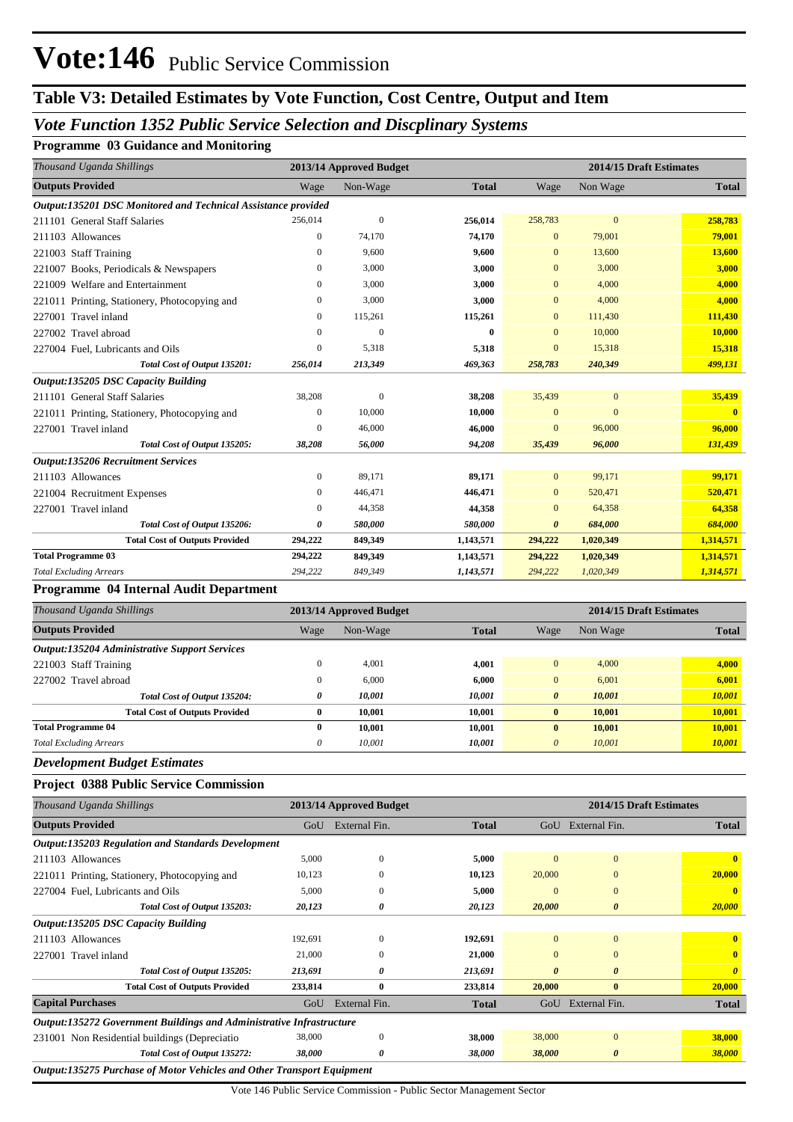## **Vote:146** Public Service Commission

### **Table V3: Detailed Estimates by Vote Function, Cost Centre, Output and Item**

### *Vote Function 1352 Public Service Selection and Discplinary Systems*

### **Programme 03 Guidance and Monitoring**

| Thousand Uganda Shillings                                     | 2013/14 Approved Budget |                |              | 2014/15 Draft Estimates |              |              |  |
|---------------------------------------------------------------|-------------------------|----------------|--------------|-------------------------|--------------|--------------|--|
| <b>Outputs Provided</b>                                       | Wage                    | Non-Wage       | <b>Total</b> | Wage                    | Non Wage     | <b>Total</b> |  |
| Output:135201 DSC Monitored and Technical Assistance provided |                         |                |              |                         |              |              |  |
| 211101 General Staff Salaries                                 | 256,014                 | $\overline{0}$ | 256,014      | 258,783                 | $\mathbf{0}$ | 258,783      |  |
| 211103 Allowances                                             | $\mathbf{0}$            | 74,170         | 74,170       | $\mathbf{0}$            | 79,001       | 79,001       |  |
| 221003 Staff Training                                         | $\mathbf{0}$            | 9.600          | 9,600        | $\mathbf{0}$            | 13,600       | 13,600       |  |
| 221007 Books, Periodicals & Newspapers                        | $\Omega$                | 3,000          | 3,000        | $\mathbf{0}$            | 3,000        | 3,000        |  |
| 221009 Welfare and Entertainment                              | $\Omega$                | 3,000          | 3,000        | $\mathbf{0}$            | 4,000        | 4.000        |  |
| 221011 Printing, Stationery, Photocopying and                 | $\mathbf{0}$            | 3,000          | 3,000        | $\mathbf{0}$            | 4,000        | 4,000        |  |
| 227001 Travel inland                                          | $\Omega$                | 115,261        | 115,261      | $\Omega$                | 111,430      | 111,430      |  |
| 227002 Travel abroad                                          | $\Omega$                | $\theta$       | $\bf{0}$     | $\Omega$                | 10,000       | 10,000       |  |
| 227004 Fuel, Lubricants and Oils                              | $\Omega$                | 5,318          | 5,318        | $\Omega$                | 15,318       | 15,318       |  |
| Total Cost of Output 135201:                                  | 256,014                 | 213,349        | 469,363      | 258,783                 | 240,349      | 499,131      |  |
| Output:135205 DSC Capacity Building                           |                         |                |              |                         |              |              |  |
| 211101 General Staff Salaries                                 | 38,208                  | $\overline{0}$ | 38,208       | 35,439                  | $\mathbf{0}$ | 35,439       |  |
| 221011 Printing, Stationery, Photocopying and                 | 0                       | 10,000         | 10,000       | $\mathbf{0}$            | $\Omega$     | $\bf{0}$     |  |
| 227001 Travel inland                                          | $\overline{0}$          | 46,000         | 46,000       | $\Omega$                | 96,000       | 96,000       |  |
| Total Cost of Output 135205:                                  | 38,208                  | 56,000         | 94,208       | 35,439                  | 96,000       | 131,439      |  |
| <b>Output:135206 Recruitment Services</b>                     |                         |                |              |                         |              |              |  |
| 211103 Allowances                                             | $\overline{0}$          | 89,171         | 89,171       | $\overline{0}$          | 99,171       | 99.171       |  |
| 221004 Recruitment Expenses                                   | 0                       | 446,471        | 446,471      | $\mathbf{0}$            | 520,471      | 520,471      |  |
| 227001 Travel inland                                          | $\Omega$                | 44,358         | 44,358       | $\mathbf{0}$            | 64,358       | 64,358       |  |
| Total Cost of Output 135206:                                  | 0                       | 580,000        | 580,000      | $\boldsymbol{\theta}$   | 684,000      | 684,000      |  |
| <b>Total Cost of Outputs Provided</b>                         | 294,222                 | 849,349        | 1,143,571    | 294,222                 | 1,020,349    | 1,314,571    |  |
| <b>Total Programme 03</b>                                     | 294,222                 | 849,349        | 1,143,571    | 294,222                 | 1,020,349    | 1,314,571    |  |
| <b>Total Excluding Arrears</b>                                | 294,222                 | 849,349        | 1,143,571    | 294,222                 | 1,020,349    | 1,314,571    |  |
| Programme 04 Internal Audit Department                        |                         |                |              |                         |              |              |  |
| Thousand Uganda Shillings                                     | 2013/14 Annroved Budget |                |              | 2014/15 Draft Estimates |              |              |  |

| Thousand Uganda Shillings                            |      | 2013/14 Approved Budget |              | 2014/15 Draft Estimates |          |              |
|------------------------------------------------------|------|-------------------------|--------------|-------------------------|----------|--------------|
| <b>Outputs Provided</b>                              | Wage | Non-Wage                | <b>Total</b> | Wage                    | Non Wage | <b>Total</b> |
| <b>Output:135204 Administrative Support Services</b> |      |                         |              |                         |          |              |
| 221003 Staff Training                                | 0    | 4,001                   | 4,001        | $\overline{0}$          | 4,000    | 4,000        |
| 227002 Travel abroad                                 | 0    | 6,000                   | 6,000        | $\overline{0}$          | 6,001    | 6,001        |
| Total Cost of Output 135204:                         | 0    | 10,001                  | 10,001       | $\boldsymbol{\theta}$   | 10.001   | 10,001       |
| <b>Total Cost of Outputs Provided</b>                | 0    | 10.001                  | 10.001       | $\bf{0}$                | 10.001   | 10,001       |
| <b>Total Programme 04</b>                            | 0    | 10.001                  | 10,001       | $\mathbf{0}$            | 10.001   | 10.001       |
| <b>Total Excluding Arrears</b>                       | 0    | 10,001                  | 10,001       | $\boldsymbol{\theta}$   | 10,001   | 10,001       |
| __                                                   |      |                         |              |                         |          |              |

*Development Budget Estimates*

#### **Project 0388 Public Service Commission**

| Thousand Uganda Shillings                                                   | 2014/15 Draft Estimates<br>2013/14 Approved Budget |               |              |                       |                       |                       |  |  |
|-----------------------------------------------------------------------------|----------------------------------------------------|---------------|--------------|-----------------------|-----------------------|-----------------------|--|--|
| <b>Outputs Provided</b>                                                     | GoU                                                | External Fin. | <b>Total</b> | GoU                   | External Fin.         | <b>Total</b>          |  |  |
| Output:135203 Regulation and Standards Development                          |                                                    |               |              |                       |                       |                       |  |  |
| 211103 Allowances                                                           | 5,000                                              | $\Omega$      | 5,000        | $\Omega$              | $\overline{0}$        | $\mathbf{0}$          |  |  |
| 221011 Printing, Stationery, Photocopying and                               | 10,123                                             | $\Omega$      | 10,123       | 20,000                | $\mathbf{0}$          | 20,000                |  |  |
| 227004 Fuel, Lubricants and Oils                                            | 5,000                                              | $\theta$      | 5,000        | $\mathbf{0}$          | $\mathbf{0}$          | $\mathbf{0}$          |  |  |
| Total Cost of Output 135203:                                                | 20,123                                             | 0             | 20,123       | 20,000                | $\boldsymbol{\theta}$ | 20,000                |  |  |
| <b>Output:135205 DSC Capacity Building</b>                                  |                                                    |               |              |                       |                       |                       |  |  |
| 211103 Allowances                                                           | 192,691                                            | $\Omega$      | 192,691      | $\overline{0}$        | $\mathbf{0}$          | $\mathbf{0}$          |  |  |
| 227001 Travel inland                                                        | 21,000                                             | $\Omega$      | 21,000       | $\Omega$              | $\Omega$              | $\mathbf{0}$          |  |  |
| Total Cost of Output 135205:                                                | 213,691                                            | 0             | 213,691      | $\boldsymbol{\theta}$ | $\boldsymbol{\theta}$ | $\boldsymbol{\theta}$ |  |  |
| <b>Total Cost of Outputs Provided</b>                                       | 233,814                                            | $\bf{0}$      | 233,814      | 20,000                | $\bf{0}$              | 20,000                |  |  |
| <b>Capital Purchases</b>                                                    | GoU                                                | External Fin. | <b>Total</b> | GoU                   | External Fin.         | Total                 |  |  |
| <b>Output:135272 Government Buildings and Administrative Infrastructure</b> |                                                    |               |              |                       |                       |                       |  |  |
| 231001 Non Residential buildings (Depreciatio                               | 38,000                                             | $\Omega$      | 38,000       | 38,000                | $\mathbf{0}$          | 38,000                |  |  |
| Total Cost of Output 135272:                                                | 38,000                                             | 0             | 38,000       | 38,000                | $\boldsymbol{\theta}$ | <b>38,000</b>         |  |  |
| Output:135275 Purchase of Motor Vehicles and Other Transport Equipment      |                                                    |               |              |                       |                       |                       |  |  |

Vote 146 Public Service Commission - Public Sector Management Sector